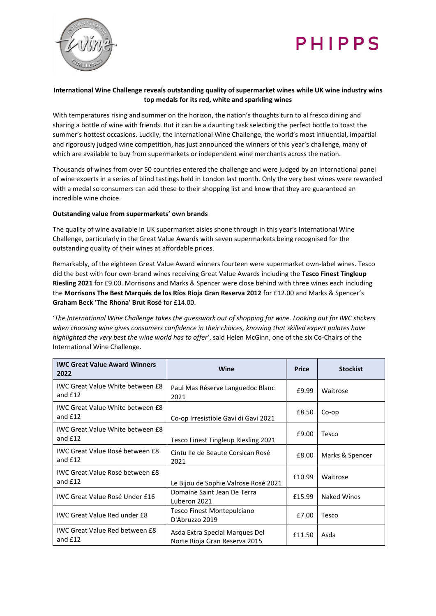



# **International Wine Challenge reveals outstanding quality of supermarket wines while UK wine industry wins top medals for its red, white and sparkling wines**

With temperatures rising and summer on the horizon, the nation's thoughts turn to al fresco dining and sharing a bottle of wine with friends. But it can be a daunting task selecting the perfect bottle to toast the summer's hottest occasions. Luckily, the International Wine Challenge, the world's most influential, impartial and rigorously judged wine competition, has just announced the winners of this year's challenge, many of which are available to buy from supermarkets or independent wine merchants across the nation.

Thousands of wines from over 50 countries entered the challenge and were judged by an international panel of wine experts in a series of blind tastings held in London last month. Only the very best wines were rewarded with a medal so consumers can add these to their shopping list and know that they are guaranteed an incredible wine choice.

## **Outstanding value from supermarkets' own brands**

The quality of wine available in UK supermarket aisles shone through in this year's International Wine Challenge, particularly in the Great Value Awards with seven supermarkets being recognised for the outstanding quality of their wines at affordable prices.

Remarkably, of the eighteen Great Value Award winners fourteen were supermarket own-label wines. Tesco did the best with four own-brand wines receiving Great Value Awards including the **Tesco Finest Tingleup Riesling 2021** for £9.00. Morrisons and Marks & Spencer were close behind with three wines each including the **Morrisons The Best Marqués de los Ríos Rioja Gran Reserva 2012** for £12.00 and Marks & Spencer's **Graham Beck 'The Rhona' Brut Rosé** for £14.00.

'*The International Wine Challenge takes the guesswork out of shopping for wine. Looking out for IWC stickers when choosing wine gives consumers confidence in their choices, knowing that skilled expert palates have highlighted the very best the wine world has to offer'*, said Helen McGinn, one of the six Co-Chairs of the International Wine Challenge.

| <b>IWC Great Value Award Winners</b><br>2022         | Wine                                                            | <b>Price</b> | <b>Stockist</b>    |
|------------------------------------------------------|-----------------------------------------------------------------|--------------|--------------------|
| <b>IWC Great Value White between £8</b><br>and £12   | Paul Mas Réserve Languedoc Blanc<br>2021                        | £9.99        | Waitrose           |
| <b>IWC Great Value White between £8</b><br>and $£12$ | Co-op Irresistible Gavi di Gavi 2021                            | £8.50        | Co-op              |
| <b>IWC Great Value White between £8</b><br>and $E12$ | Tesco Finest Tingleup Riesling 2021                             | £9.00        | Tesco              |
| IWC Great Value Rosé between £8<br>and £12           | Cintu Ile de Beaute Corsican Rosé<br>2021                       | £8.00        | Marks & Spencer    |
| IWC Great Value Rosé between £8<br>and £12           | Le Bijou de Sophie Valrose Rosé 2021                            | £10.99       | Waitrose           |
| <b>IWC Great Value Rosé Under £16</b>                | Domaine Saint Jean De Terra<br>Luberon 2021                     | £15.99       | <b>Naked Wines</b> |
| <b>IWC Great Value Red under £8</b>                  | Tesco Finest Montepulciano<br>D'Abruzzo 2019                    | £7.00        | Tesco              |
| <b>IWC Great Value Red between £8</b><br>and $£12$   | Asda Extra Special Marques Del<br>Norte Rioja Gran Reserva 2015 | £11.50       | Asda               |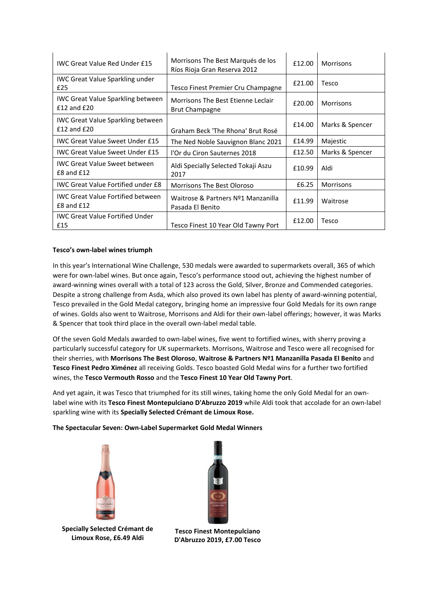| <b>IWC Great Value Red Under £15</b>                        | Morrisons The Best Marqués de los<br>Ríos Rioja Gran Reserva 2012 | £12.00 | <b>Morrisons</b> |
|-------------------------------------------------------------|-------------------------------------------------------------------|--------|------------------|
| <b>IWC Great Value Sparkling under</b><br>£25               | Tesco Finest Premier Cru Champagne                                | £21.00 | Tesco            |
| <b>IWC Great Value Sparkling between</b><br>$£12$ and $£20$ | Morrisons The Best Etienne Leclair<br><b>Brut Champagne</b>       | £20.00 | <b>Morrisons</b> |
| <b>IWC Great Value Sparkling between</b><br>$£12$ and $£20$ | Graham Beck 'The Rhona' Brut Rosé                                 | £14.00 | Marks & Spencer  |
| <b>IWC Great Value Sweet Under £15</b>                      | The Ned Noble Sauvignon Blanc 2021                                | £14.99 | Majestic         |
| <b>IWC Great Value Sweet Under £15</b>                      | l'Or du Ciron Sauternes 2018                                      | £12.50 | Marks & Spencer  |
| <b>IWC Great Value Sweet between</b><br>£8 and £12          | Aldi Specially Selected Tokaji Aszu<br>2017                       | £10.99 | Aldi             |
| <b>IWC Great Value Fortified under £8</b>                   | Morrisons The Best Oloroso                                        | £6.25  | <b>Morrisons</b> |
| <b>IWC Great Value Fortified between</b><br>£8 and £12      | Waitrose & Partners Nº1 Manzanilla<br>Pasada El Benito            | £11.99 | Waitrose         |
| <b>IWC Great Value Fortified Under</b><br>£15               | Tesco Finest 10 Year Old Tawny Port                               | £12.00 | Tesco            |

## **Tesco's own-label wines triumph**

In this year's International Wine Challenge, 530 medals were awarded to supermarkets overall, 365 of which were for own-label wines. But once again, Tesco's performance stood out, achieving the highest number of award-winning wines overall with a total of 123 across the Gold, Silver, Bronze and Commended categories. Despite a strong challenge from Asda, which also proved its own label has plenty of award-winning potential, Tesco prevailed in the Gold Medal category, bringing home an impressive four Gold Medals for its own range of wines. Golds also went to Waitrose, Morrisons and Aldi for their own-label offerings; however, it was Marks & Spencer that took third place in the overall own-label medal table.

Of the seven Gold Medals awarded to own-label wines, five went to fortified wines, with sherry proving a particularly successful category for UK supermarkets. Morrisons, Waitrose and Tesco were all recognised for their sherries, with **Morrisons The Best Oloroso**, **Waitrose & Partners Nº1 Manzanilla Pasada El Benito** and **Tesco Finest Pedro Ximénez** all receiving Golds. Tesco boasted Gold Medal wins for a further two fortified wines, the **Tesco Vermouth Rosso** and the **Tesco Finest 10 Year Old Tawny Port**.

And yet again, it was Tesco that triumphed for its still wines, taking home the only Gold Medal for an ownlabel wine with its **Tesco Finest Montepulciano D'Abruzzo 2019** while Aldi took that accolade for an own-label sparkling wine with its **Specially Selected Crémant de Limoux Rose.** 

## **The Spectacular Seven: Own-Label Supermarket Gold Medal Winners**





**Specially Selected Crémant de Limoux Rose, £6.49 Aldi**

**Tesco Finest Montepulciano D'Abruzzo 2019, £7.00 Tesco**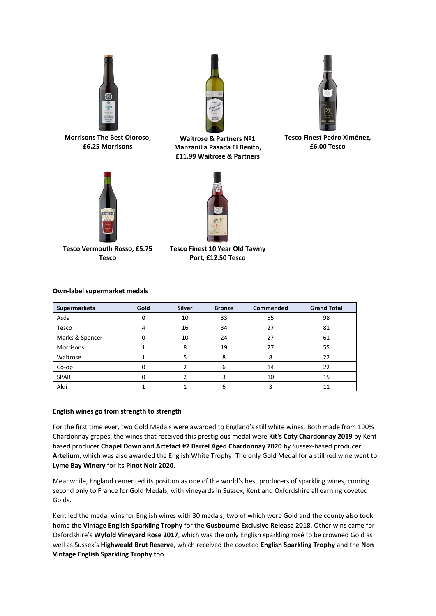

**Morrisons The Best Oloroso, £6.25 Morrisons**



**Waitrose & Partners Nº1 Manzanilla Pasada El Benito, £11.99 Waitrose & Partners**



**Tesco Finest Pedro Ximénez, £6.00 Tesco**



**Tesco Vermouth Rosso, £5.75 Tesco**

**Tesco Finest 10 Year Old Tawny Port, £12.50 Tesco**

#### **Own-label supermarket medals**

| <b>Supermarkets</b> | Gold | <b>Silver</b> | <b>Bronze</b> | Commended | <b>Grand Total</b> |
|---------------------|------|---------------|---------------|-----------|--------------------|
| Asda                | 0    | 10            | 33            | 55        | 98                 |
| Tesco               | 4    | 16            | 34            | 27        | 81                 |
| Marks & Spencer     | 0    | 10            | 24            | 27        | 61                 |
| Morrisons           |      | 8             | 19            | 27        | 55                 |
| Waitrose            |      | 5             | 8             | 8         | 22                 |
| $Co$ -op            | 0    |               | 6             | 14        | 22                 |
| <b>SPAR</b>         |      |               |               | 10        | 15                 |
| Aldi                |      |               | ь             |           | 11                 |

## **English wines go from strength to strength**

For the first time ever, two Gold Medals were awarded to England's still white wines. Both made from 100% Chardonnay grapes, the wines that received this prestigious medal were **Kit's Coty Chardonnay 2019** by Kentbased producer **Chapel Down** and **Artefact #2 Barrel Aged Chardonnay 2020** by Sussex-based producer **Artelium**, which was also awarded the English White Trophy. The only Gold Medal for a still red wine went to **Lyme Bay Winery** for its **Pinot Noir 2020**.

Meanwhile, England cemented its position as one of the world's best producers of sparkling wines, coming second only to France for Gold Medals, with vineyards in Sussex, Kent and Oxfordshire all earning coveted Golds.

Kent led the medal wins for English wines with 30 medals, two of which were Gold and the county also took home the **Vintage English Sparkling Trophy** for the **Gusbourne Exclusive Release 2018**. Other wins came for Oxfordshire's **Wyfold Vineyard Rose 2017**, which was the only English sparkling rosé to be crowned Gold as well as Sussex's **Highweald Brut Reserve**, which received the coveted **English Sparkling Trophy** and the **Non Vintage English Sparkling Trophy** too.